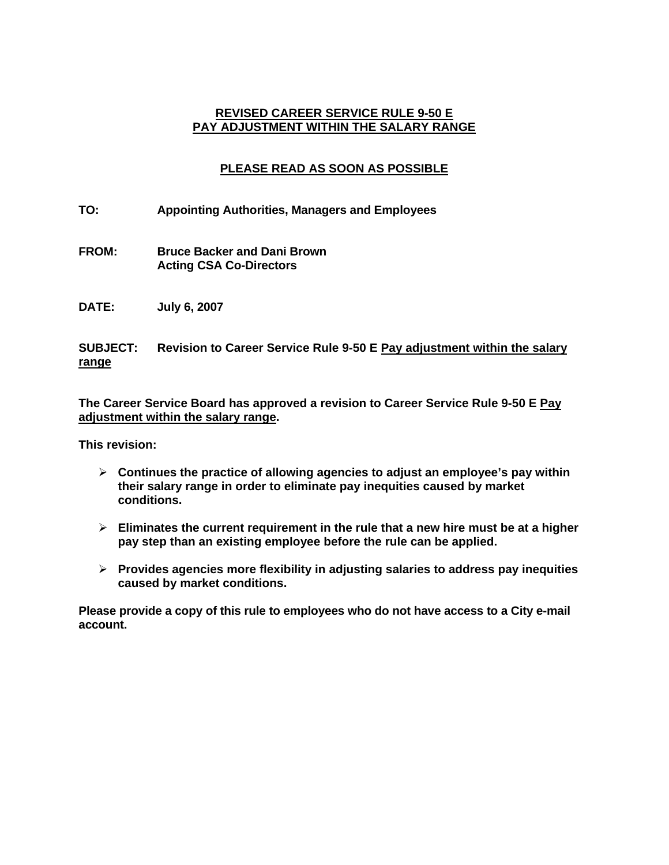## **REVISED CAREER SERVICE RULE 9-50 E PAY ADJUSTMENT WITHIN THE SALARY RANGE**

# **PLEASE READ AS SOON AS POSSIBLE**

- **TO: Appointing Authorities, Managers and Employees**
- **FROM: Bruce Backer and Dani Brown Acting CSA Co-Directors**
- **DATE: July 6, 2007**

## **SUBJECT: Revision to Career Service Rule 9-50 E Pay adjustment within the salary range**

**The Career Service Board has approved a revision to Career Service Rule 9-50 E Pay adjustment within the salary range.** 

**This revision:** 

- ¾ **Continues the practice of allowing agencies to adjust an employee's pay within their salary range in order to eliminate pay inequities caused by market conditions.**
- ¾ **Eliminates the current requirement in the rule that a new hire must be at a higher pay step than an existing employee before the rule can be applied.**
- ¾ **Provides agencies more flexibility in adjusting salaries to address pay inequities caused by market conditions.**

**Please provide a copy of this rule to employees who do not have access to a City e-mail account.**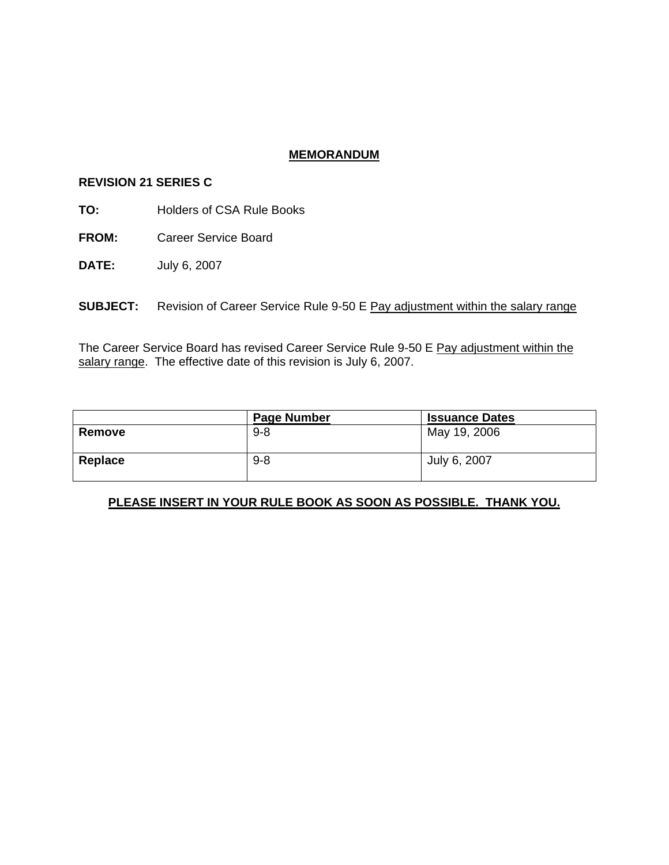### **MEMORANDUM**

#### **REVISION 21 SERIES C**

**TO:** Holders of CSA Rule Books

**FROM:** Career Service Board

**DATE:** July 6, 2007

**SUBJECT:** Revision of Career Service Rule 9-50 E Pay adjustment within the salary range

The Career Service Board has revised Career Service Rule 9-50 E Pay adjustment within the salary range. The effective date of this revision is July 6, 2007.

|         | <b>Page Number</b> | <b>Issuance Dates</b> |
|---------|--------------------|-----------------------|
| Remove  | $9 - 8$            | May 19, 2006          |
| Replace | $9 - 8$            | July 6, 2007          |

## **PLEASE INSERT IN YOUR RULE BOOK AS SOON AS POSSIBLE. THANK YOU.**